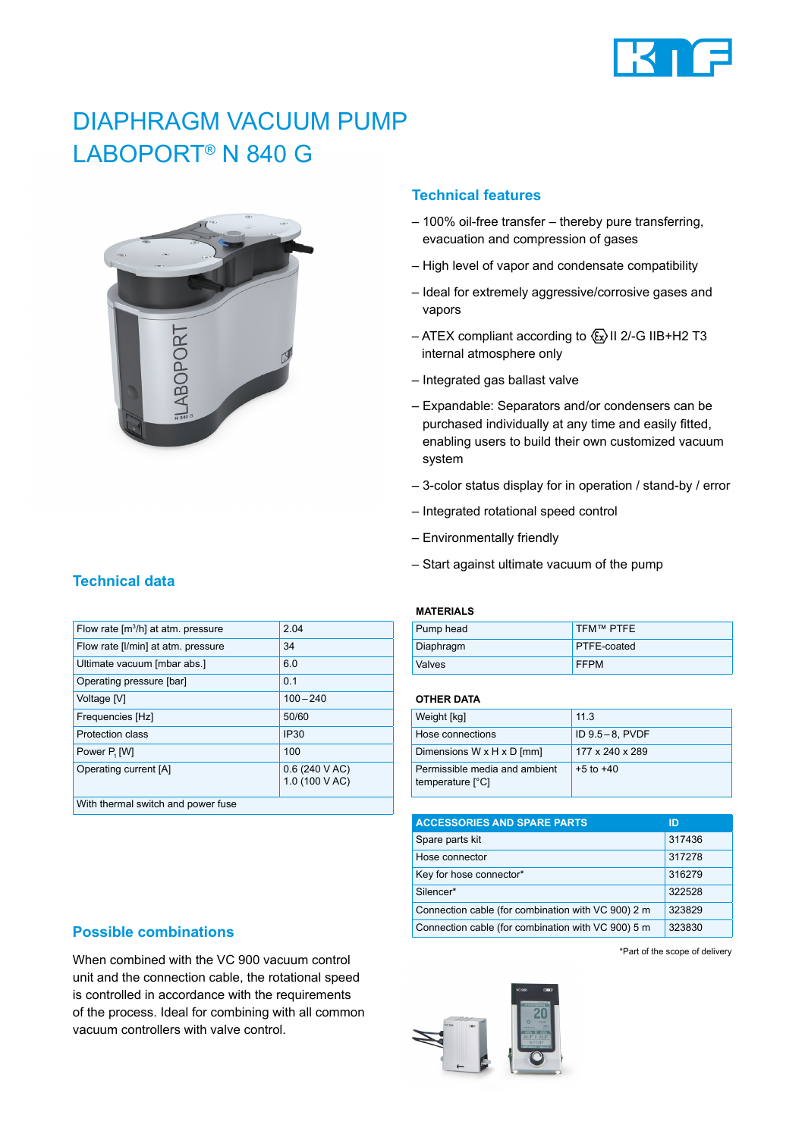

# DIAPHRAGM VACUUM PUMP LABOPORT® N 840 G



### **Technical features**

- 100% oil-free transfer thereby pure transferring, evacuation and compression of gases
- High level of vapor and condensate compatibility
- Ideal for extremely aggressive/corrosive gases and vapors
- ATEX compliant according to  $\langle x \rangle$  II 2/-G IIB+H2 T3 internal atmosphere only
- Integrated gas ballast valve
- Expandable: Separators and/or condensers can be purchased individually at any time and easily fitted, enabling users to build their own customized vacuum system
- 3-color status display for in operation / stand-by / error
- Integrated rotational speed control
- Environmentally friendly
- Start against ultimate vacuum of the pump

## Flow rate [m<sup>3</sup>/h] at atm. pressure **2.04** Flow rate [I/min] at atm. pressure 34 Ultimate vacuum [mbar abs.] 6.0 Operating pressure [bar] 0.1 Voltage [V] 100 – 240 Frequencies [Hz] 50/60

Protection class IP30

 [W] 100 Operating current [A] 0.6 (240 V AC)

1.0 (100 V AC)

### **MATERIALS**

| Pump head | TFM™ PTFE          |
|-----------|--------------------|
| Diaphragm | <b>PTFE-coated</b> |
| Valves    | <b>FFPM</b>        |

### **OTHER DATA**

| Weight [kg]                                       | 11.3            |
|---------------------------------------------------|-----------------|
| Hose connections                                  | ID 9.5-8, PVDF  |
| Dimensions W x H x D [mm]                         | 177 x 240 x 289 |
| Permissible media and ambient<br>temperature [°C] | $+5$ to $+40$   |

| <b>ACCESSORIES AND SPARE PARTS</b>                 | ID     |
|----------------------------------------------------|--------|
| Spare parts kit                                    | 317436 |
| Hose connector                                     | 317278 |
| Key for hose connector*                            | 316279 |
| Silencer*                                          | 322528 |
| Connection cable (for combination with VC 900) 2 m | 323829 |
| Connection cable (for combination with VC 900) 5 m | 323830 |

\*Part of the scope of delivery

### **Possible combinations**

With thermal switch and power fuse

When combined with the VC 900 vacuum control unit and the connection cable, the rotational speed is controlled in accordance with the requirements of the process. Ideal for combining with all common vacuum controllers with valve control.

## **Technical data**

Power P<sub>1</sub> [W]